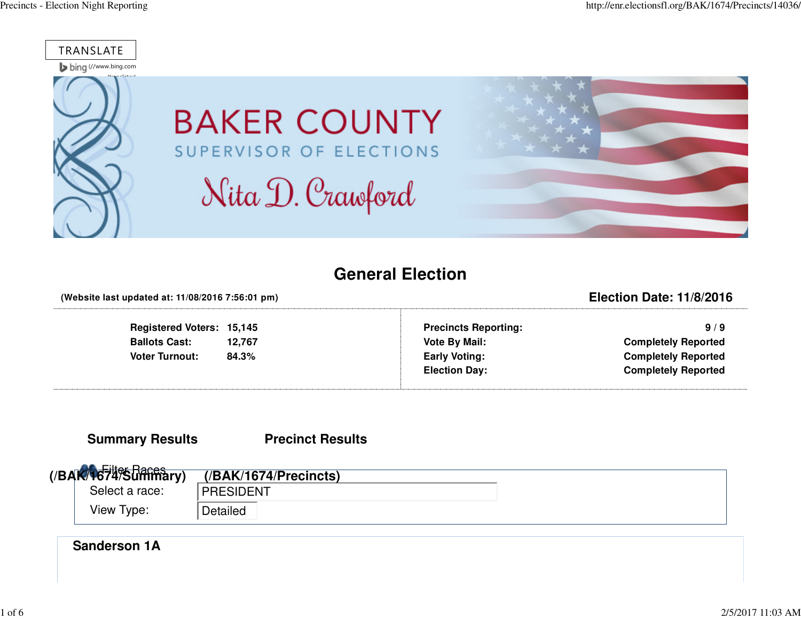

## **General Election**

#### **(Website last updated at: 11/08/2016 7:56:01 pm)**

#### **Registered Voters: 15,145**12,767 **Ballots Cast:** 84.3% **Voter Turnout:**

**Precincts Reporting:**

**Election Date: 11/8/2016**

 **9 / 9 Vote By Mail: Completely Reported Early Voting: Completely ReportedElection Day: Completely Reported**

#### **Summary Results**

**Precinct Results**

| (BAK/1674% Daces | $($ /BAK/1674/Precincts $)$ |
|------------------|-----------------------------|
| Select a race:   | PRESIDENT                   |
| View Type:       | Detailed                    |

#### **Sanderson 1A**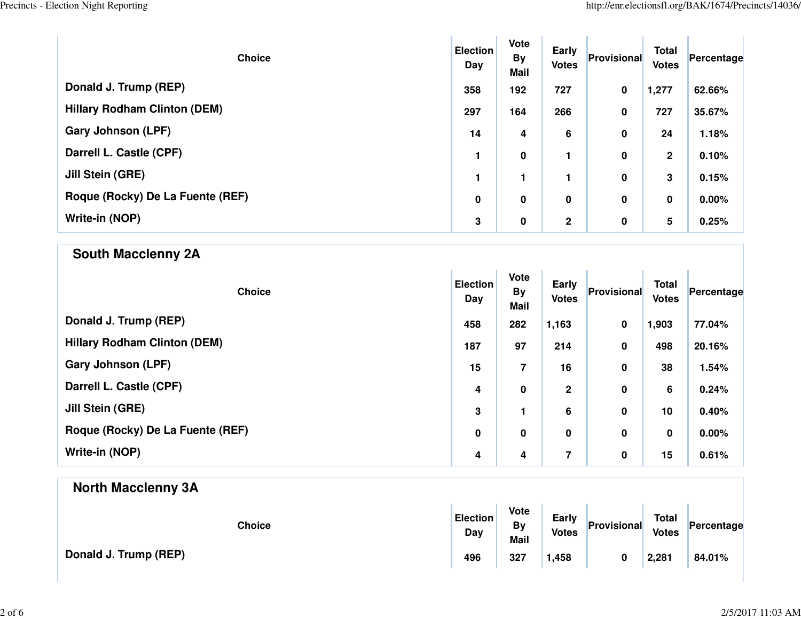| <b>Choice</b>                       | <b>Election</b><br>Day | Vote<br><b>By</b><br><b>Mail</b> | Early<br><b>Votes</b> | Provisional | <b>Total</b><br><b>Votes</b> | Percentage |
|-------------------------------------|------------------------|----------------------------------|-----------------------|-------------|------------------------------|------------|
| Donald J. Trump (REP)               | 358                    | 192                              | 727                   | $\mathbf 0$ | 1,277                        | 62.66%     |
| <b>Hillary Rodham Clinton (DEM)</b> | 297                    | 164                              | 266                   | 0           | 727                          | 35.67%     |
| <b>Gary Johnson (LPF)</b>           | 14                     | 4                                | 6                     | 0           | 24                           | 1.18%      |
| Darrell L. Castle (CPF)             |                        | $\pmb{0}$                        | 1                     | 0           | $\mathbf{2}$                 | 0.10%      |
| Jill Stein (GRE)                    | 1                      |                                  | 1                     | 0           | 3                            | 0.15%      |
| Roque (Rocky) De La Fuente (REF)    | $\mathbf 0$            | 0                                | 0                     | 0           | 0                            | $0.00\%$   |
| Write-in (NOP)                      | 3                      | $\bf{0}$                         | $\mathbf 2$           | $\mathbf 0$ | 5                            | 0.25%      |

| <b>South Macclenny 2A</b>           |                        |                                  |                              |             |                              |            |
|-------------------------------------|------------------------|----------------------------------|------------------------------|-------------|------------------------------|------------|
| <b>Choice</b>                       | <b>Election</b><br>Day | Vote<br><b>By</b><br><b>Mail</b> | <b>Early</b><br><b>Votes</b> | Provisional | <b>Total</b><br><b>Votes</b> | Percentage |
| Donald J. Trump (REP)               | 458                    | 282                              | 1,163                        | $\pmb{0}$   | 1,903                        | 77.04%     |
| <b>Hillary Rodham Clinton (DEM)</b> | 187                    | 97                               | 214                          | $\mathbf 0$ | 498                          | 20.16%     |
| <b>Gary Johnson (LPF)</b>           | 15                     | $\overline{7}$                   | 16                           | $\pmb{0}$   | 38                           | 1.54%      |
| Darrell L. Castle (CPF)             | 4                      | $\pmb{0}$                        | $\mathbf 2$                  | 0           | 6                            | 0.24%      |
| Jill Stein (GRE)                    | 3                      | $\mathbf{1}$                     | 6                            | $\pmb{0}$   | 10                           | 0.40%      |
| Roque (Rocky) De La Fuente (REF)    | $\pmb{0}$              | $\pmb{0}$                        | $\mathbf 0$                  | $\pmb{0}$   | $\pmb{0}$                    | 0.00%      |
| Write-in (NOP)                      | 4                      | 4                                | $\overline{\mathbf{z}}$      | $\pmb{0}$   | 15                           | 0.61%      |
| <b>North Macclenny 3A</b>           |                        |                                  |                              |             |                              |            |

| <b>Choice</b>         | <b>Election</b><br>Day | Vote<br>By<br><b>Mail</b> | Early<br><b>Votes</b> | Provisional | <b>Total</b><br><b>Votes</b> | Percentage |  |
|-----------------------|------------------------|---------------------------|-----------------------|-------------|------------------------------|------------|--|
| Donald J. Trump (REP) | 496                    | 327                       | 1,458                 |             | 2,281                        | 84.01%     |  |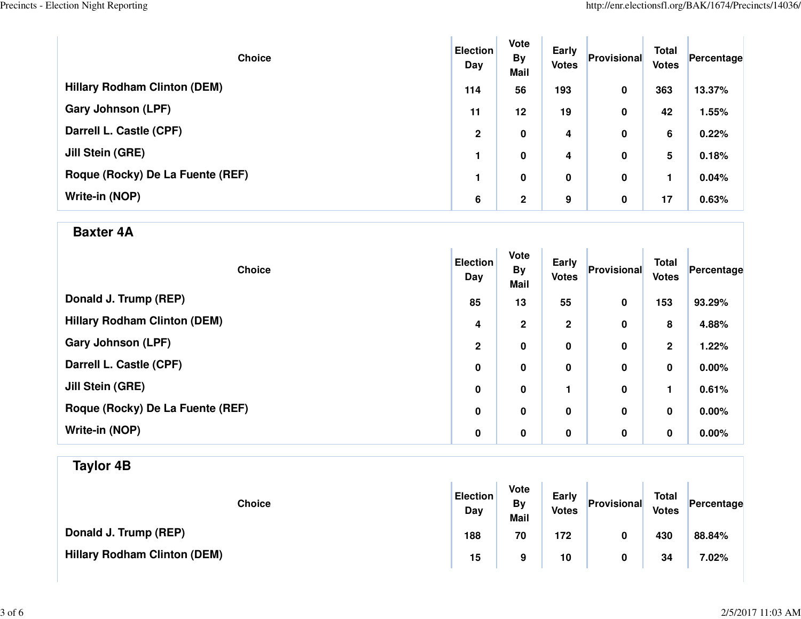| <b>Choice</b>                       | <b>Election</b><br>Day | <b>Vote</b><br><b>By</b><br><b>Mail</b> | Early<br><b>Votes</b> | Provisional | <b>Total</b><br><b>Votes</b> | Percentage |
|-------------------------------------|------------------------|-----------------------------------------|-----------------------|-------------|------------------------------|------------|
| <b>Hillary Rodham Clinton (DEM)</b> | 114                    | 56                                      | 193                   | 0           | 363                          | 13.37%     |
| <b>Gary Johnson (LPF)</b>           | 11                     | 12                                      | 19                    | 0           | 42                           | 1.55%      |
| Darrell L. Castle (CPF)             | $\mathbf{2}$           | 0                                       | 4                     | 0           | 6                            | 0.22%      |
| Jill Stein (GRE)                    |                        | 0                                       | 4                     | 0           | 5                            | 0.18%      |
| Roque (Rocky) De La Fuente (REF)    | 1                      | 0                                       | 0                     | 0           |                              | 0.04%      |
| Write-in (NOP)                      | 6                      | $\overline{2}$                          | 9                     | 0           | 17                           | 0.63%      |

### **Baxter 4A**

| <b>Choice</b>                       | <b>Election</b><br>Day | Vote<br><b>By</b><br><b>Mail</b> | <b>Early</b><br><b>Votes</b> | Provisional | <b>Total</b><br><b>Votes</b> | Percentage |
|-------------------------------------|------------------------|----------------------------------|------------------------------|-------------|------------------------------|------------|
| Donald J. Trump (REP)               | 85                     | 13                               | 55                           | 0           | 153                          | 93.29%     |
| <b>Hillary Rodham Clinton (DEM)</b> | 4                      | $\mathbf{2}$                     | $\mathbf 2$                  | 0           | 8                            | 4.88%      |
| <b>Gary Johnson (LPF)</b>           | $\overline{2}$         | $\pmb{0}$                        | 0                            | 0           | $\mathbf{2}$                 | 1.22%      |
| Darrell L. Castle (CPF)             | $\mathbf 0$            | $\pmb{0}$                        | 0                            | 0           | 0                            | $0.00\%$   |
| Jill Stein (GRE)                    | 0                      | $\pmb{0}$                        |                              | 0           | 1                            | 0.61%      |
| Roque (Rocky) De La Fuente (REF)    | 0                      | $\pmb{0}$                        | 0                            | 0           | 0                            | 0.00%      |
| Write-in (NOP)                      | 0                      | $\pmb{0}$                        | 0                            | 0           | 0                            | 0.00%      |

## **Taylor 4B**

| <b>Choice</b>                       | <b>Election</b><br>Day | Vote<br>By<br><b>Mail</b> | Early<br><b>Votes</b> | Provisional | <b>Total</b><br><b>Votes</b> | Percentage |
|-------------------------------------|------------------------|---------------------------|-----------------------|-------------|------------------------------|------------|
| Donald J. Trump (REP)               | 188                    | 70                        | 172                   | 0           | 430                          | 88.84%     |
| <b>Hillary Rodham Clinton (DEM)</b> | 15                     | 9                         | 10                    | 0           | 34                           | 7.02%      |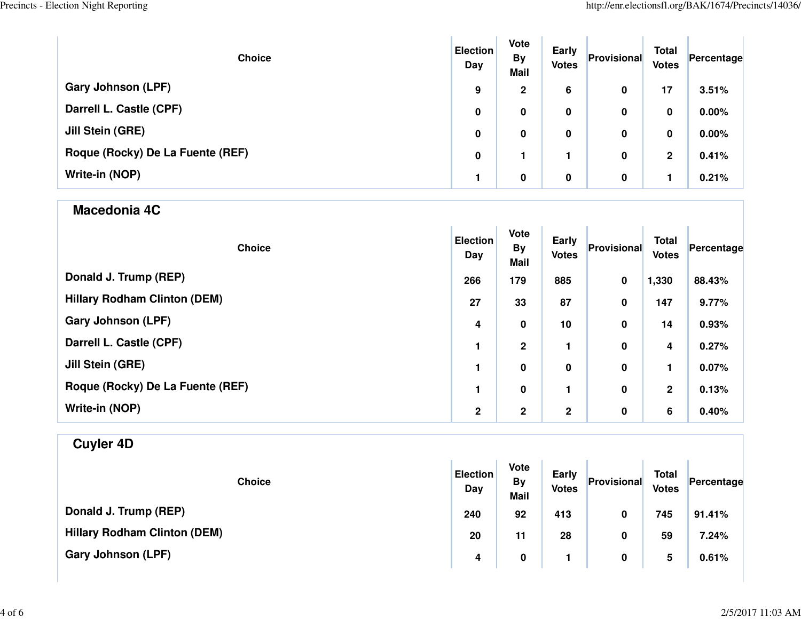| <b>Choice</b>                    | <b>Election</b><br>Day | <b>Vote</b><br><b>By</b><br><b>Mail</b> | Early<br><b>Votes</b> | Provisional | <b>Total</b><br><b>Votes</b> | Percentage |
|----------------------------------|------------------------|-----------------------------------------|-----------------------|-------------|------------------------------|------------|
| <b>Gary Johnson (LPF)</b>        | 9                      | $\mathbf{2}$                            | 6                     | 0           | 17                           | 3.51%      |
| Darrell L. Castle (CPF)          | 0                      | 0                                       | 0                     | 0           | 0                            | 0.00%      |
| Jill Stein (GRE)                 | 0                      | 0                                       | 0                     | 0           | 0                            | 0.00%      |
| Roque (Rocky) De La Fuente (REF) | 0                      |                                         |                       | 0           | 2                            | 0.41%      |
| Write-in (NOP)                   |                        | 0                                       | 0                     | 0           |                              | 0.21%      |

### **Macedonia 4C**

| <b>Choice</b>                       | <b>Election</b><br>Day | <b>Vote</b><br><b>By</b><br><b>Mail</b> | Early<br><b>Votes</b> | Provisional | <b>Total</b><br><b>Votes</b> | Percentage |
|-------------------------------------|------------------------|-----------------------------------------|-----------------------|-------------|------------------------------|------------|
| Donald J. Trump (REP)               | 266                    | 179                                     | 885                   | 0           | 1,330                        | 88.43%     |
| <b>Hillary Rodham Clinton (DEM)</b> | 27                     | 33                                      | 87                    | 0           | 147                          | 9.77%      |
| Gary Johnson (LPF)                  | 4                      | $\bf{0}$                                | 10                    | 0           | 14                           | 0.93%      |
| Darrell L. Castle (CPF)             |                        | $\mathbf 2$                             | 1                     | 0           | 4                            | 0.27%      |
| Jill Stein (GRE)                    |                        | $\bf{0}$                                | 0                     | $\pmb{0}$   |                              | 0.07%      |
| Roque (Rocky) De La Fuente (REF)    | 1.                     | $\bf{0}$                                | 1                     | 0           | $\mathbf 2$                  | 0.13%      |
| Write-in (NOP)                      | $\mathbf 2$            | $\mathbf 2$                             | $\mathbf{2}$          | 0           | 6                            | 0.40%      |

# **Cuyler 4D**

| <b>Choice</b>                       | <b>Election</b><br>Day | <b>Vote</b><br>By<br><b>Mail</b> | Early<br><b>Votes</b> | Provisional | <b>Total</b><br><b>Votes</b> | Percentage |  |
|-------------------------------------|------------------------|----------------------------------|-----------------------|-------------|------------------------------|------------|--|
| Donald J. Trump (REP)               | 240                    | 92                               | 413                   | 0           | 745                          | 91.41%     |  |
| <b>Hillary Rodham Clinton (DEM)</b> | 20                     | 11                               | 28                    | 0           | 59                           | 7.24%      |  |
| Gary Johnson (LPF)                  | 4                      | 0                                |                       | 0           | 5                            | 0.61%      |  |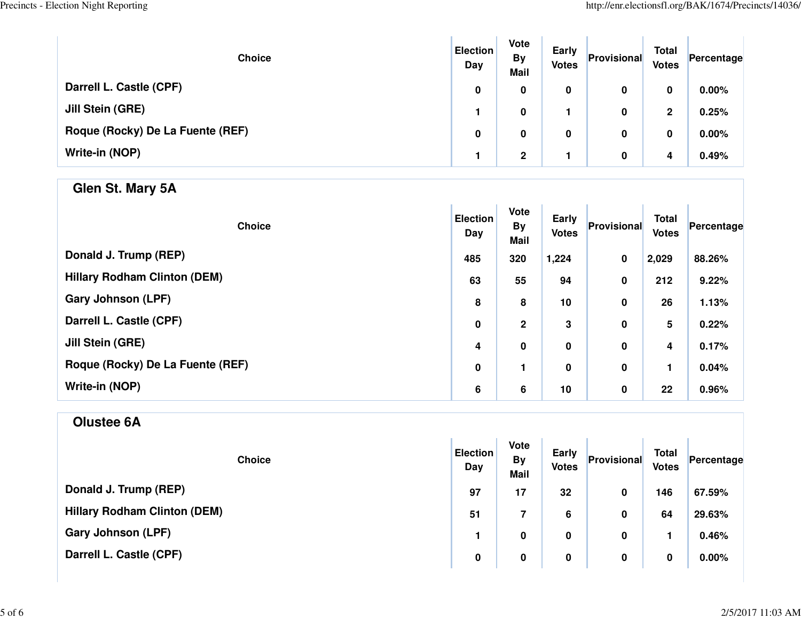| <b>Choice</b>                    | <b>Election</b><br>Day | <b>Vote</b><br><b>By</b><br><b>Mail</b> | Early<br><b>Votes</b> | Provisional | <b>Total</b><br><b>Votes</b> | Percentage |
|----------------------------------|------------------------|-----------------------------------------|-----------------------|-------------|------------------------------|------------|
| Darrell L. Castle (CPF)          | 0                      | 0                                       | 0                     | 0           | 0                            | $0.00\%$   |
| Jill Stein (GRE)                 |                        | 0                                       |                       | 0           | $\mathbf{2}$                 | 0.25%      |
| Roque (Rocky) De La Fuente (REF) | 0                      | 0                                       | 0                     | 0           | 0                            | $0.00\%$   |
| Write-in (NOP)                   |                        | $\mathbf{2}$                            |                       | 0           | 4                            | 0.49%      |

## **Glen St. Mary 5A**

| <b>Choice</b>                       | <b>Election</b><br>Day | Vote<br><b>By</b><br><b>Mail</b> | Early<br><b>Votes</b> | Provisional | <b>Total</b><br><b>Votes</b> | Percentage |
|-------------------------------------|------------------------|----------------------------------|-----------------------|-------------|------------------------------|------------|
| Donald J. Trump (REP)               | 485                    | 320                              | 1,224                 | 0           | 2,029                        | 88.26%     |
| <b>Hillary Rodham Clinton (DEM)</b> | 63                     | 55                               | 94                    | 0           | 212                          | 9.22%      |
| <b>Gary Johnson (LPF)</b>           | 8                      | 8                                | 10                    | $\pmb{0}$   | 26                           | 1.13%      |
| Darrell L. Castle (CPF)             | $\pmb{0}$              | $\mathbf 2$                      | 3                     | $\pmb{0}$   | 5                            | 0.22%      |
| <b>Jill Stein (GRE)</b>             | 4                      | $\pmb{0}$                        | 0                     | $\pmb{0}$   | 4                            | 0.17%      |
| Roque (Rocky) De La Fuente (REF)    | 0                      | 1                                | 0                     | $\pmb{0}$   |                              | 0.04%      |
| Write-in (NOP)                      | 6                      | 6                                | 10                    | $\pmb{0}$   | 22                           | 0.96%      |

## **Olustee 6A**

| <b>Choice</b>                       | <b>Election</b><br>Day | <b>Vote</b><br><b>By</b><br><b>Mail</b> | Early<br><b>Votes</b> | Provisional | <b>Total</b><br><b>Votes</b> | Percentage |
|-------------------------------------|------------------------|-----------------------------------------|-----------------------|-------------|------------------------------|------------|
| Donald J. Trump (REP)               | 97                     | 17                                      | 32                    | 0           | 146                          | 67.59%     |
| <b>Hillary Rodham Clinton (DEM)</b> | 51                     | 7                                       | 6                     | 0           | 64                           | 29.63%     |
| <b>Gary Johnson (LPF)</b>           |                        | 0                                       | 0                     | 0           |                              | 0.46%      |
| Darrell L. Castle (CPF)             | 0                      | 0                                       | 0                     | 0           | 0                            | $0.00\%$   |